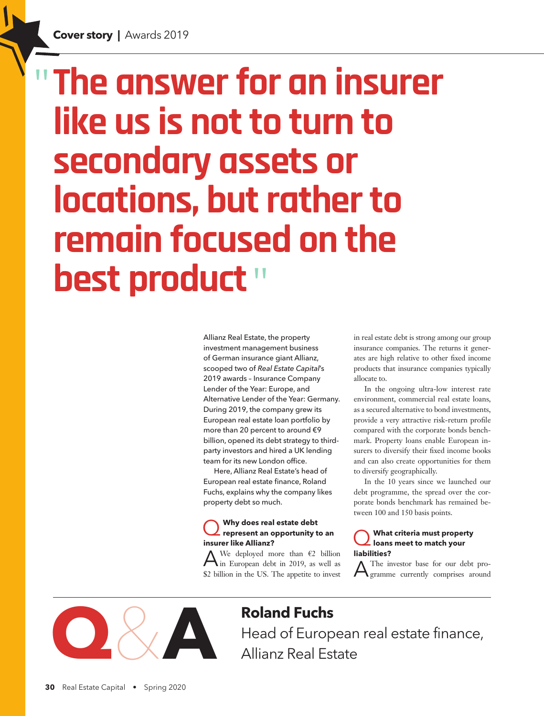# " **The answer for an insurer like us is not to turn to secondary assets or locations, but rather to remain focused on the best product**"

Allianz Real Estate, the property investment management business of German insurance giant Allianz, scooped two of *Real Estate Capital*'s 2019 awards – Insurance Company Lender of the Year: Europe, and Alternative Lender of the Year: Germany. During 2019, the company grew its European real estate loan portfolio by more than 20 percent to around €9 billion, opened its debt strategy to thirdparty investors and hired a UK lending team for its new London office.

Here, Allianz Real Estate's head of European real estate finance, Roland Fuchs, explains why the company likes property debt so much.

## Q **Why does real estate debt represent an opportunity to an insurer like Allianz?**

A We deployed more than  $\epsilon$ 2 billion in European debt in 2019, as well as \$2 billion in the US. The appetite to invest

in real estate debt is strong among our group insurance companies. The returns it generates are high relative to other fixed income products that insurance companies typically allocate to.

In the ongoing ultra-low interest rate environment, commercial real estate loans, as a secured alternative to bond investments, provide a very attractive risk-return profile compared with the corporate bonds benchmark. Property loans enable European insurers to diversify their fixed income books and can also create opportunities for them to diversify geographically.

In the 10 years since we launched our debt programme, the spread over the corporate bonds benchmark has remained between 100 and 150 basis points.

#### Q **What criteria must property loans meet to match your liabilities?**

The investor base for our debt programme currently comprises around



# **Roland Fuchs**

Head of European real estate finance, Allianz Real Estate